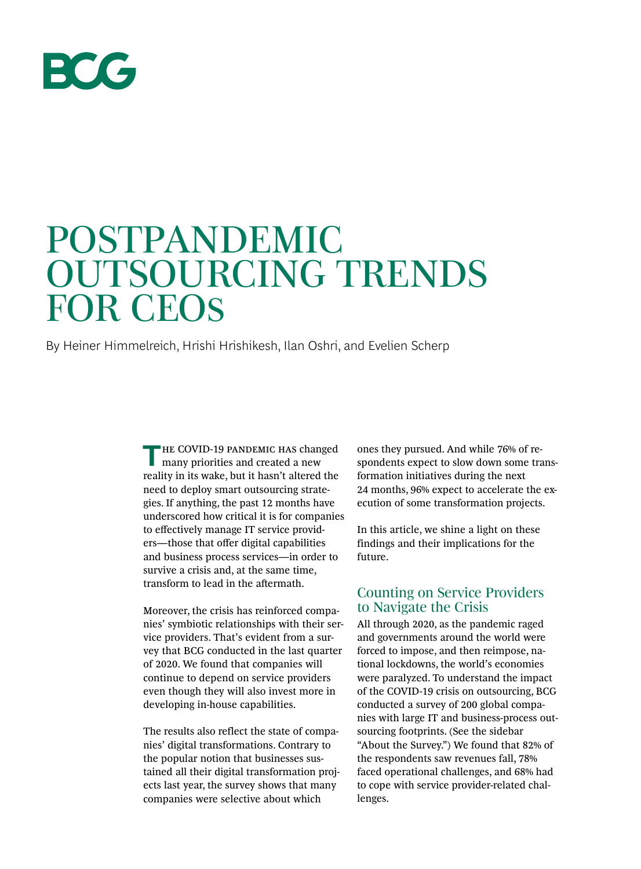

# POSTPANDEMIC OUTSOURCING TRENDS FOR CEOs

By Heiner Himmelreich, Hrishi Hrishikesh, Ilan Oshri, and Evelien Scherp

**THE COVID-19 PANDEMIC HAS changed** many priorities and created a new reality in its wake, but it hasn't altered the need to deploy smart outsourcing strategies. If anything, the past 12 months have underscored how critical it is for companies to effectively manage IT service providers—those that offer digital capabilities and business process services—in order to survive a crisis and, at the same time, transform to lead in the aftermath.

Moreover, the crisis has reinforced companies' symbiotic relationships with their service providers. That's evident from a survey that BCG conducted in the last quarter of 2020. We found that companies will continue to depend on service providers even though they will also invest more in developing in-house capabilities.

The results also reflect the state of companies' digital transformations. Contrary to the popular notion that businesses sustained all their digital transformation projects last year, the survey shows that many companies were selective about which

ones they pursued. And while 76% of respondents expect to slow down some transformation initiatives during the next 24 months, 96% expect to accelerate the execution of some transformation projects.

In this article, we shine a light on these findings and their implications for the future.

### Counting on Service Providers to Navigate the Crisis

All through 2020, as the pandemic raged and governments around the world were forced to impose, and then reimpose, national lockdowns, the world's economies were paralyzed. To understand the impact of the COVID-19 crisis on outsourcing, BCG conducted a survey of 200 global companies with large IT and business-process outsourcing footprints. (See the sidebar "About the Survey.") We found that 82% of the respondents saw revenues fall, 78% faced operational challenges, and 68% had to cope with service provider-related challenges.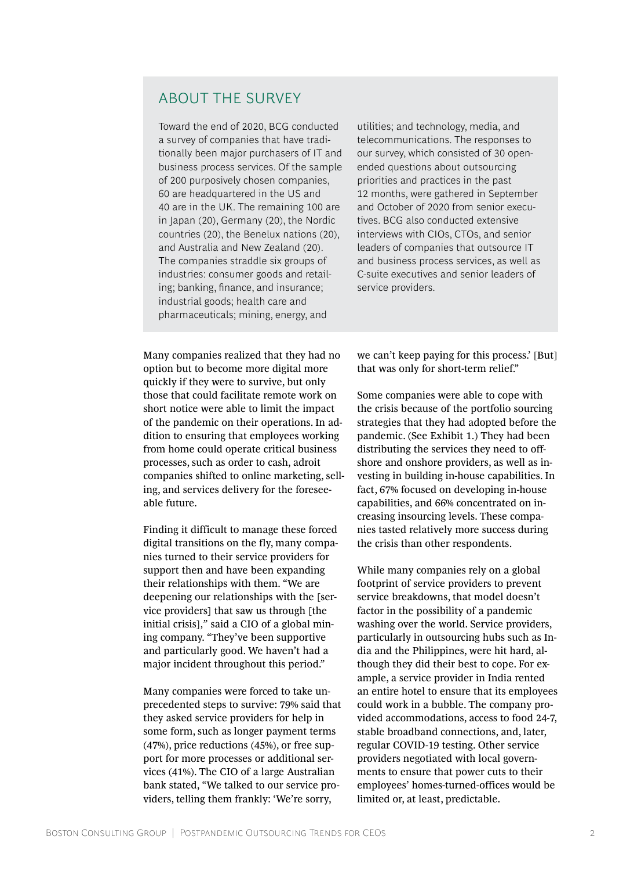# ABOUT THE SURVEY

Toward the end of 2020, BCG conducted a survey of companies that have traditionally been major purchasers of IT and business process services. Of the sample of 200 purposively chosen companies, 60 are headquartered in the US and 40 are in the UK. The remaining 100 are in Japan (20), Germany (20), the Nordic countries (20), the Benelux nations (20), and Australia and New Zealand (20). The companies straddle six groups of industries: consumer goods and retailing; banking, finance, and insurance; industrial goods; health care and pharmaceuticals; mining, energy, and

utilities; and technology, media, and telecommunications. The responses to our survey, which consisted of 30 openended questions about outsourcing priorities and practices in the past 12 months, were gathered in September and October of 2020 from senior executives. BCG also conducted extensive interviews with CIOs, CTOs, and senior leaders of companies that outsource IT and business process services, as well as C-suite executives and senior leaders of service providers.

Many companies realized that they had no option but to become more digital more quickly if they were to survive, but only those that could facilitate remote work on short notice were able to limit the impact of the pandemic on their operations. In addition to ensuring that employees working from home could operate critical business processes, such as order to cash, adroit companies shifted to online marketing, selling, and services delivery for the foreseeable future.

Finding it difficult to manage these forced digital transitions on the fly, many companies turned to their service providers for support then and have been expanding their relationships with them. "We are deepening our relationships with the [service providers] that saw us through [the initial crisis]," said a CIO of a global mining company. "They've been supportive and particularly good. We haven't had a major incident throughout this period."

Many companies were forced to take unprecedented steps to survive: 79% said that they asked service providers for help in some form, such as longer payment terms (47%), price reductions (45%), or free support for more processes or additional services (41%). The CIO of a large Australian bank stated, "We talked to our service providers, telling them frankly: 'We're sorry,

we can't keep paying for this process.' [But] that was only for short-term relief."

Some companies were able to cope with the crisis because of the portfolio sourcing strategies that they had adopted before the pandemic. (See Exhibit 1.) They had been distributing the services they need to offshore and onshore providers, as well as investing in building in-house capabilities. In fact, 67% focused on developing in-house capabilities, and 66% concentrated on increasing insourcing levels. These companies tasted relatively more success during the crisis than other respondents.

While many companies rely on a global footprint of service providers to prevent service breakdowns, that model doesn't factor in the possibility of a pandemic washing over the world. Service providers, particularly in outsourcing hubs such as India and the Philippines, were hit hard, although they did their best to cope. For example, a service provider in India rented an entire hotel to ensure that its employees could work in a bubble. The company provided accommodations, access to food 24-7, stable broadband connections, and, later, regular COVID-19 testing. Other service providers negotiated with local governments to ensure that power cuts to their employees' homes-turned-offices would be limited or, at least, predictable.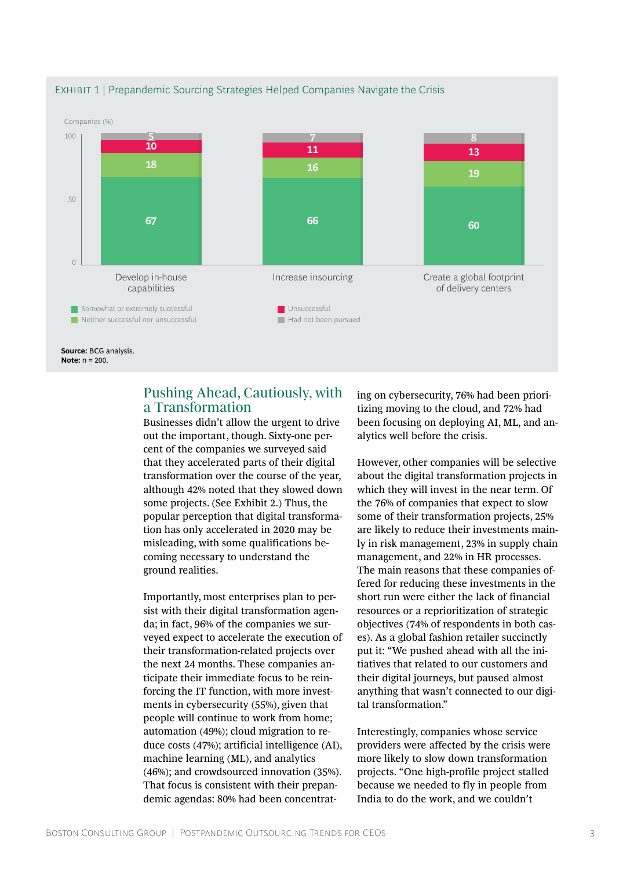

#### EXHIBIT 1 | Prepandemic Sourcing Strategies Helped Companies Navigate the Crisis

## Pushing Ahead, Cautiously, with a Transformation

Businesses didn't allow the urgent to drive out the important, though. Sixty-one percent of the companies we surveyed said that they accelerated parts of their digital transformation over the course of the year, although 42% noted that they slowed down some projects. (See Exhibit 2.) Thus, the popular perception that digital transformation has only accelerated in 2020 may be misleading, with some qualifications becoming necessary to understand the ground realities.

Importantly, most enterprises plan to persist with their digital transformation agenda; in fact, 96% of the companies we surveyed expect to accelerate the execution of their transformation-related projects over the next 24 months. These companies anticipate their immediate focus to be reinforcing the IT function, with more investments in cybersecurity (55%), given that people will continue to work from home; automation (49%); cloud migration to reduce costs (47%); artificial intelligence (AI), machine learning (ML), and analytics (46%); and crowdsourced innovation (35%). That focus is consistent with their prepandemic agendas: 80% had been concentrating on cybersecurity, 76% had been prioritizing moving to the cloud, and 72% had been focusing on deploying AI, ML, and analytics well before the crisis.

However, other companies will be selective about the digital transformation projects in which they will invest in the near term. Of the 76% of companies that expect to slow some of their transformation projects, 25% are likely to reduce their investments mainly in risk management, 23% in supply chain management, and 22% in HR processes. The main reasons that these companies offered for reducing these investments in the short run were either the lack of financial resources or a reprioritization of strategic objectives (74% of respondents in both cases). As a global fashion retailer succinctly put it: "We pushed ahead with all the initiatives that related to our customers and their digital journeys, but paused almost anything that wasn't connected to our digital transformation."

Interestingly, companies whose service providers were affected by the crisis were more likely to slow down transformation projects. "One high-profile project stalled because we needed to fly in people from India to do the work, and we couldn't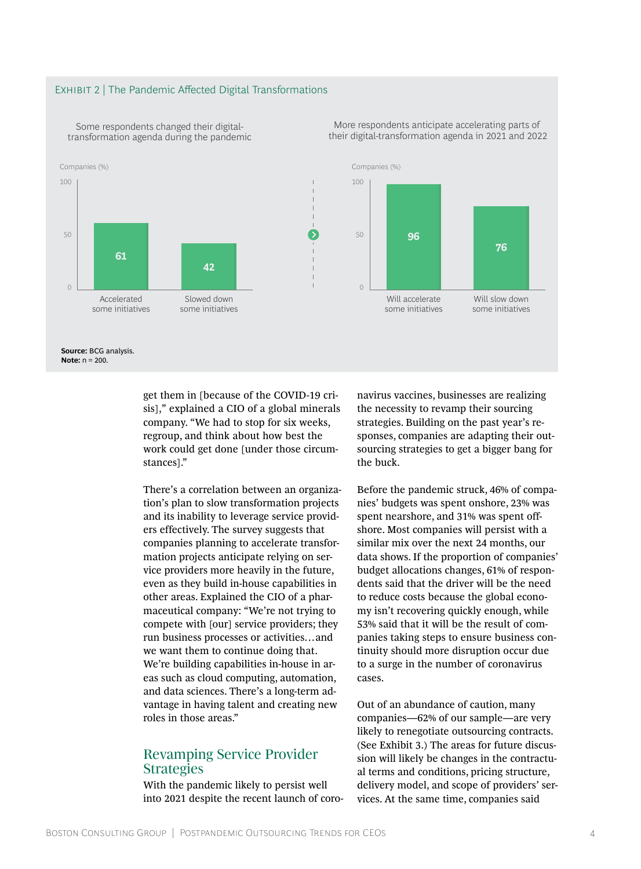#### EXHIBIT 2 | The Pandemic Affected Digital Transformations



Some respondents changed their digitaltransformation agenda during the pandemic

> get them in [because of the COVID-19 crisis]," explained a CIO of a global minerals company. "We had to stop for six weeks, regroup, and think about how best the work could get done [under those circumstances]."

There's a correlation between an organization's plan to slow transformation projects and its inability to leverage service providers effectively. The survey suggests that companies planning to accelerate transformation projects anticipate relying on service providers more heavily in the future, even as they build in-house capabilities in other areas. Explained the CIO of a pharmaceutical company: "We're not trying to compete with [our] service providers; they run business processes or activities…and we want them to continue doing that. We're building capabilities in-house in areas such as cloud computing, automation, and data sciences. There's a long-term advantage in having talent and creating new roles in those areas."

## Revamping Service Provider Strategies

With the pandemic likely to persist well into 2021 despite the recent launch of coronavirus vaccines, businesses are realizing the necessity to revamp their sourcing strategies. Building on the past year's responses, companies are adapting their outsourcing strategies to get a bigger bang for the buck.

More respondents anticipate accelerating parts of their digital-transformation agenda in 2021 and 2022

> Before the pandemic struck, 46% of companies' budgets was spent onshore, 23% was spent nearshore, and 31% was spent offshore. Most companies will persist with a similar mix over the next 24 months, our data shows. If the proportion of companies' budget allocations changes, 61% of respondents said that the driver will be the need to reduce costs because the global economy isn't recovering quickly enough, while 53% said that it will be the result of companies taking steps to ensure business continuity should more disruption occur due to a surge in the number of coronavirus cases.

> Out of an abundance of caution, many companies—62% of our sample—are very likely to renegotiate outsourcing contracts. (See Exhibit 3.) The areas for future discussion will likely be changes in the contractual terms and conditions, pricing structure, delivery model, and scope of providers' services. At the same time, companies said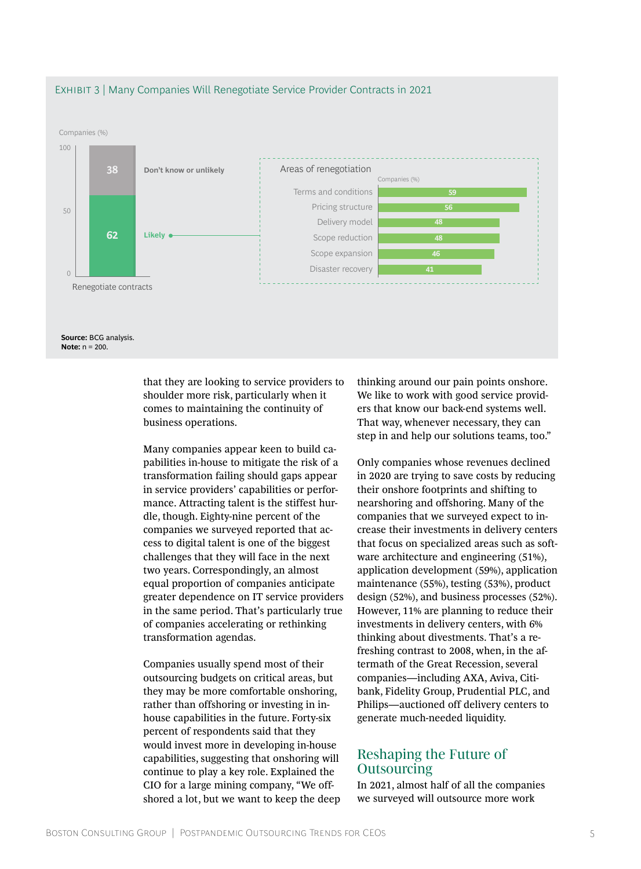

#### Exhibit 3 | Many Companies Will Renegotiate Service Provider Contracts in 2021

that they are looking to service providers to shoulder more risk, particularly when it comes to maintaining the continuity of business operations.

Many companies appear keen to build capabilities in-house to mitigate the risk of a transformation failing should gaps appear in service providers' capabilities or performance. Attracting talent is the stiffest hurdle, though. Eighty-nine percent of the companies we surveyed reported that access to digital talent is one of the biggest challenges that they will face in the next two years. Correspondingly, an almost equal proportion of companies anticipate greater dependence on IT service providers in the same period. That's particularly true of companies accelerating or rethinking transformation agendas.

Companies usually spend most of their outsourcing budgets on critical areas, but they may be more comfortable onshoring, rather than offshoring or investing in inhouse capabilities in the future. Forty-six percent of respondents said that they would invest more in developing in-house capabilities, suggesting that onshoring will continue to play a key role. Explained the CIO for a large mining company, "We offshored a lot, but we want to keep the deep thinking around our pain points onshore. We like to work with good service providers that know our back-end systems well. That way, whenever necessary, they can step in and help our solutions teams, too."

Only companies whose revenues declined in 2020 are trying to save costs by reducing their onshore footprints and shifting to nearshoring and offshoring. Many of the companies that we surveyed expect to increase their investments in delivery centers that focus on specialized areas such as software architecture and engineering (51%), application development (59%), application maintenance (55%), testing (53%), product design (52%), and business processes (52%). However, 11% are planning to reduce their investments in delivery centers, with 6% thinking about divestments. That's a refreshing contrast to 2008, when, in the aftermath of the Great Recession, several companies—including AXA, Aviva, Citibank, Fidelity Group, Prudential PLC, and Philips—auctioned off delivery centers to generate much-needed liquidity.

## Reshaping the Future of **Outsourcing**

In 2021, almost half of all the companies we surveyed will outsource more work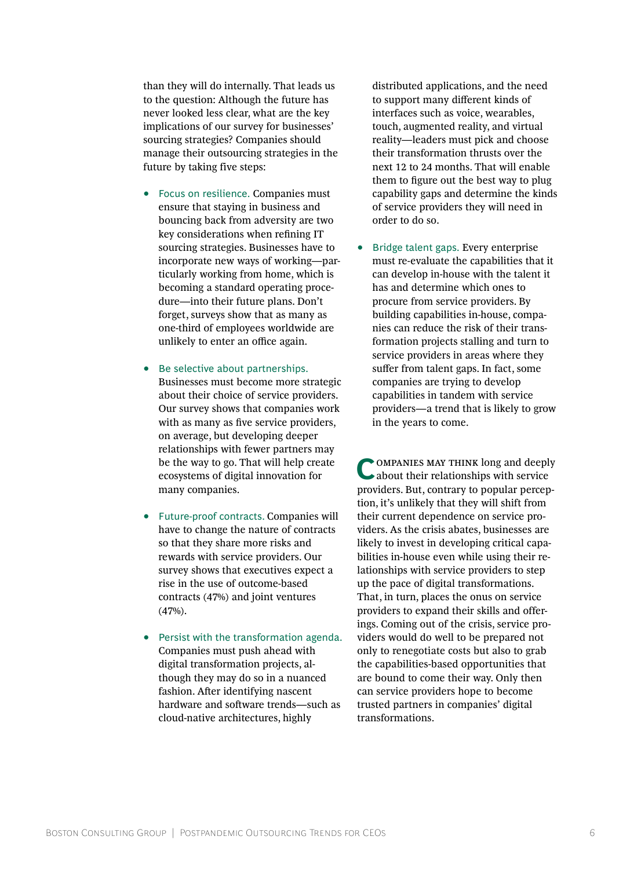than they will do internally. That leads us to the question: Although the future has never looked less clear, what are the key implications of our survey for businesses' sourcing strategies? Companies should manage their outsourcing strategies in the future by taking five steps:

- Focus on resilience. Companies must ensure that staying in business and bouncing back from adversity are two key considerations when refining IT sourcing strategies. Businesses have to incorporate new ways of working—particularly working from home, which is becoming a standard operating procedure—into their future plans. Don't forget, surveys show that as many as one-third of employees worldwide are unlikely to enter an office again.
- Be selective about partnerships. Businesses must become more strategic about their choice of service providers. Our survey shows that companies work with as many as five service providers, on average, but developing deeper relationships with fewer partners may be the way to go. That will help create ecosystems of digital innovation for many companies.
- Future-proof contracts. Companies will have to change the nature of contracts so that they share more risks and rewards with service providers. Our survey shows that executives expect a rise in the use of outcome-based contracts (47%) and joint ventures (47%).
- Persist with the transformation agenda. Companies must push ahead with digital transformation projects, although they may do so in a nuanced fashion. After identifying nascent hardware and software trends—such as cloud-native architectures, highly

distributed applications, and the need to support many different kinds of interfaces such as voice, wearables, touch, augmented reality, and virtual reality—leaders must pick and choose their transformation thrusts over the next 12 to 24 months. That will enable them to figure out the best way to plug capability gaps and determine the kinds of service providers they will need in order to do so.

• Bridge talent gaps. Every enterprise must re-evaluate the capabilities that it can develop in-house with the talent it has and determine which ones to procure from service providers. By building capabilities in-house, companies can reduce the risk of their transformation projects stalling and turn to service providers in areas where they suffer from talent gaps. In fact, some companies are trying to develop capabilities in tandem with service providers—a trend that is likely to grow in the years to come.

COMPANIES MAY THINK long and deeply about their relationships with service providers. But, contrary to popular perception, it's unlikely that they will shift from their current dependence on service providers. As the crisis abates, businesses are likely to invest in developing critical capabilities in-house even while using their relationships with service providers to step up the pace of digital transformations. That, in turn, places the onus on service providers to expand their skills and offerings. Coming out of the crisis, service providers would do well to be prepared not only to renegotiate costs but also to grab the capabilities-based opportunities that are bound to come their way. Only then can service providers hope to become trusted partners in companies' digital transformations.